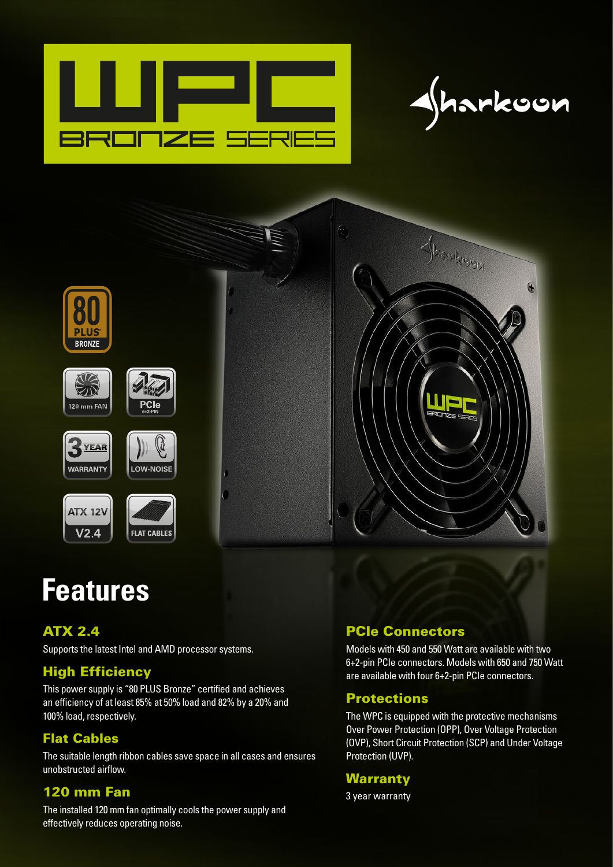





# **Features**

#### ATX 2.4

Supports the latest Intel and AMD processor systems.

#### High Efficiency

This power supply is "80 PLUS Bronze" certified and achieves an efficiency of at least 85% at 50% load and 82% by a 20% and 100% load, respectively.

#### Flat Cables

The suitable length ribbon cables save space in all cases and ensures unobstructed airflow.

#### 120 mm Fan

The installed 120 mm fan optimally cools the power supply and effectively reduces operating noise.

### PCIe Connectors

Models with 450 and 550 Watt are available with two 6+2-pin PCIe connectors. Models with 650 and 750 Watt are available with four 6+2-pin PCIe connectors.

#### **Protections**

The WPC is equipped with the protective mechanisms Over Power Protection (OPP), Over Voltage Protection (OVP), Short Circuit Protection (SCP) and Under Voltage Protection (UVP).

#### **Warranty**

3 year warranty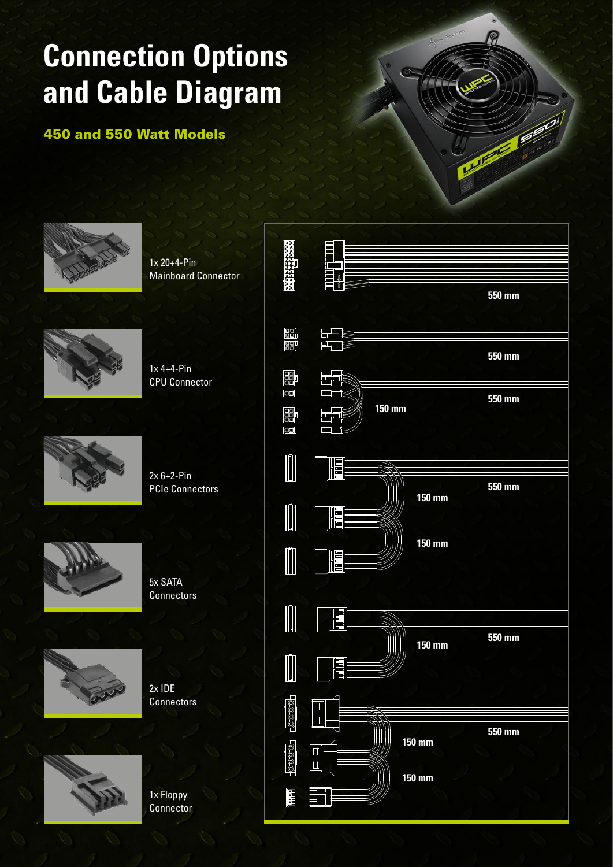# **Connection Options and Cable Diagram**

#### 450 and 550 Watt Models



1x 20+4-Pin Mainboard Connector



```
1x 4+4-Pin 
CPU Connector
```




5x SATA **Connectors** 

2x 6+2-Pin PCIe Connectors







1x Floppy Connector



OF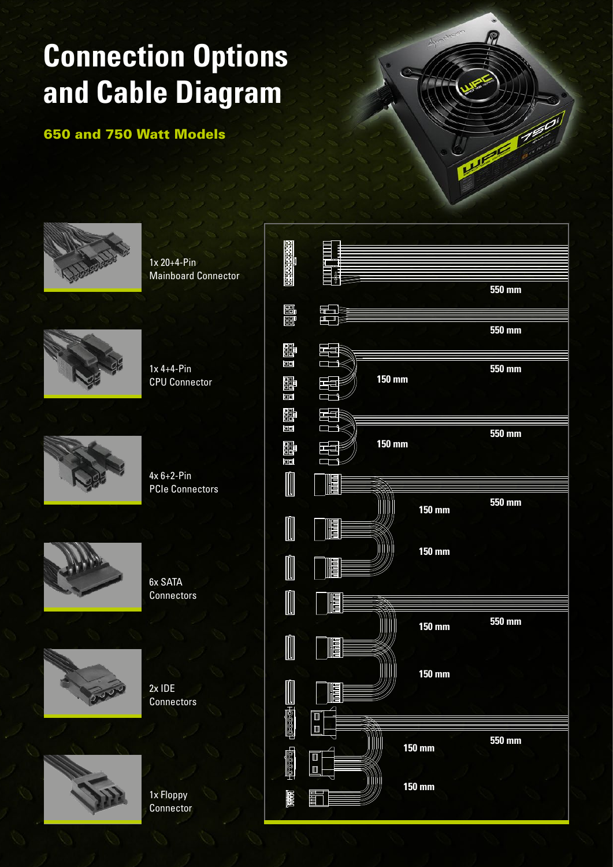# **Connection Options and Cable Diagram**

#### 650 and 750 Watt Models



1x 20+4-Pin Mainboard Connector



1x 4+4-Pin CPU Connector





6x SATA **Connectors** 

4x 6+2-Pin PCIe Connectors



2x IDE **Connectors** 



1x Floppy **Connector** 



**COLLEGE**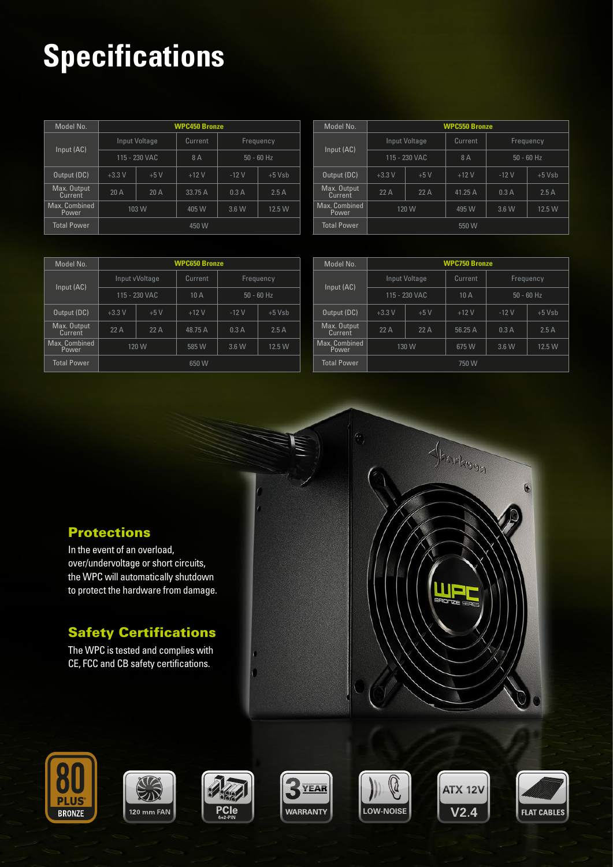# **Specifications**

| Model No.              | <b>WPC450 Bronze</b> |       |         |              |          |  | Model No.             |
|------------------------|----------------------|-------|---------|--------------|----------|--|-----------------------|
| Input (AC)             | Input Voltage        |       | Current | Frequency    |          |  | Input (AC)            |
|                        | 115 - 230 VAC        |       | 8 A     | $50 - 60$ Hz |          |  |                       |
| Output (DC)            | $+3.3V$              | $+5V$ | $+12V$  | $-12V$       | $+5$ Vsb |  | Output (DC            |
| Max. Output<br>Current | 20A                  | 20A   | 33.75 A | 0.3A         | 2.5A     |  | Max. Outpu<br>Current |
| Max. Combined<br>Power | 103 W                |       | 405 W   | 3.6W         | 12.5W    |  | Max. Combin<br>Power  |
| <b>Total Power</b>     | 450 W                |       |         |              |          |  | <b>Total Powe</b>     |

| Model No.              | <b>WPC550 Bronze</b> |               |         |              |          |  |
|------------------------|----------------------|---------------|---------|--------------|----------|--|
| Input (AC)             |                      | Input Voltage | Current | Frequency    |          |  |
|                        | 115 - 230 VAC        |               | 8 A     | $50 - 60$ Hz |          |  |
| Output (DC)            | $+3.3V$              | $+5V$         | $+12V$  | $-12V$       | $+5$ Vsb |  |
| Max. Output<br>Current | 22A                  | 22A           | 41.25 A | 0.3A         | 2.5A     |  |
| Max. Combined<br>Power | 120 W                |               | 495 W   | 3.6W         | 12.5 W   |  |
| <b>Total Power</b>     |                      |               | 550 W   |              |          |  |

| Model No.              | <b>WPC650 Bronze</b> |       |         |              |          | Model No.             |
|------------------------|----------------------|-------|---------|--------------|----------|-----------------------|
|                        | Input vVoltage       |       | Current | Frequency    |          |                       |
| Input (AC)             | 115 - 230 VAC        |       | 10A     | $50 - 60$ Hz |          | Input (AC)            |
| Output (DC)            | $+3.3V$              | $+5V$ | $+12V$  | $-12V$       | $+5$ Vsb | Output (DC            |
| Max. Output<br>Current | 22A                  | 22A   | 48.75 A | 0.3A         | 2.5A     | Max. Outpu<br>Current |
| Max. Combined<br>Power | 120 W                |       | 585 W   | 3.6W         | 12.5 W   | Max. Combin<br>Power  |
| <b>Total Power</b>     | 650 W                |       |         |              |          | <b>Total Powe</b>     |

| Model No.              | <b>WPC750 Bronze</b> |               |         |              |          |  |
|------------------------|----------------------|---------------|---------|--------------|----------|--|
| Input (AC)             |                      | Input Voltage | Current | Frequency    |          |  |
|                        |                      | 115 - 230 VAC | 10A     | $50 - 60$ Hz |          |  |
| Output (DC)            | $+3.3V$              | $+5V$         | $+12V$  | $-12V$       | $+5$ Vsb |  |
| Max. Output<br>Current | 22A                  | 22A           | 56.25 A | 0.3A         | 2.5A     |  |
| Max. Combined<br>Power | 130 W                |               | 675 W   | 3.6W         | 12.5W    |  |
| <b>Total Power</b>     | 750 W                |               |         |              |          |  |



#### **Protections**

In the event of an overload, over/undervoltage or short circuits, the WPC will automatically shutdown to protect the hardware from damage.

### Safety Certifications

The WPC is tested and complies with CE, FCC and CB safety certifications.